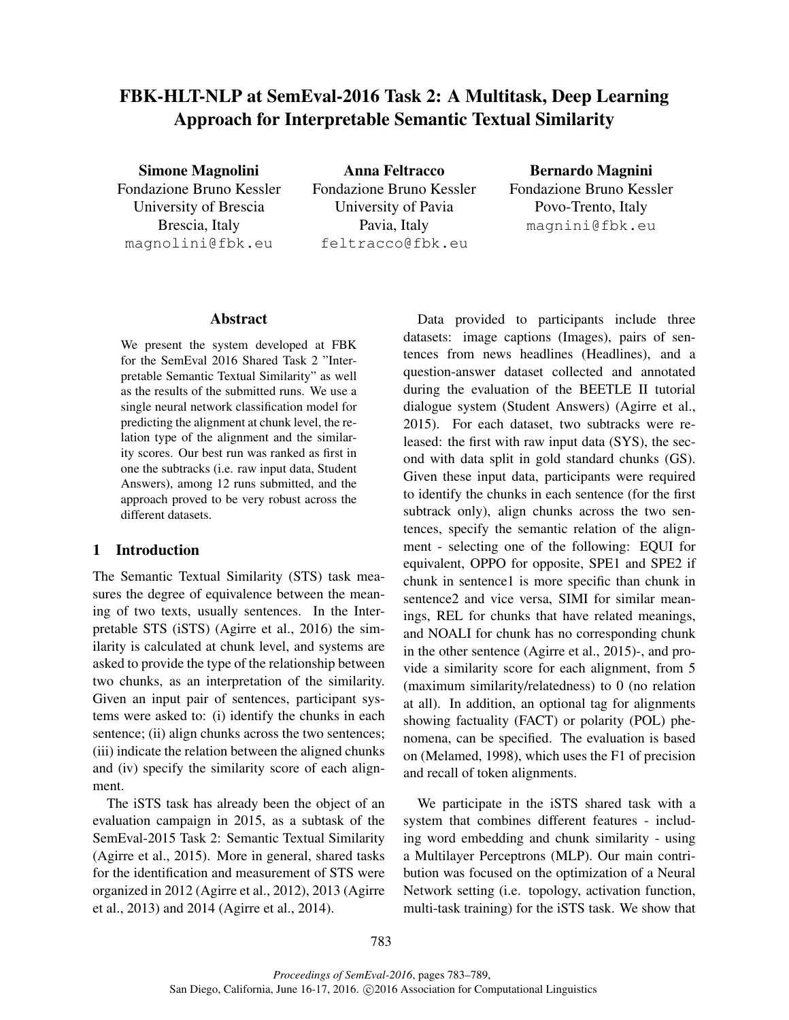# FBK-HLT-NLP at SemEval-2016 Task 2: A Multitask, Deep Learning Approach for Interpretable Semantic Textual Similarity

Simone Magnolini Fondazione Bruno Kessler University of Brescia Brescia, Italy magnolini@fbk.eu

Anna Feltracco Fondazione Bruno Kessler University of Pavia Pavia, Italy feltracco@fbk.eu

Bernardo Magnini Fondazione Bruno Kessler Povo-Trento, Italy magnini@fbk.eu

## Abstract

We present the system developed at FBK for the SemEval 2016 Shared Task 2 "Interpretable Semantic Textual Similarity" as well as the results of the submitted runs. We use a single neural network classification model for predicting the alignment at chunk level, the relation type of the alignment and the similarity scores. Our best run was ranked as first in one the subtracks (i.e. raw input data, Student Answers), among 12 runs submitted, and the approach proved to be very robust across the different datasets.

#### 1 Introduction

The Semantic Textual Similarity (STS) task measures the degree of equivalence between the meaning of two texts, usually sentences. In the Interpretable STS (iSTS) (Agirre et al., 2016) the similarity is calculated at chunk level, and systems are asked to provide the type of the relationship between two chunks, as an interpretation of the similarity. Given an input pair of sentences, participant systems were asked to: (i) identify the chunks in each sentence; (ii) align chunks across the two sentences; (iii) indicate the relation between the aligned chunks and (iv) specify the similarity score of each alignment.

The iSTS task has already been the object of an evaluation campaign in 2015, as a subtask of the SemEval-2015 Task 2: Semantic Textual Similarity (Agirre et al., 2015). More in general, shared tasks for the identification and measurement of STS were organized in 2012 (Agirre et al., 2012), 2013 (Agirre et al., 2013) and 2014 (Agirre et al., 2014).

Data provided to participants include three datasets: image captions (Images), pairs of sentences from news headlines (Headlines), and a question-answer dataset collected and annotated during the evaluation of the BEETLE II tutorial dialogue system (Student Answers) (Agirre et al., 2015). For each dataset, two subtracks were released: the first with raw input data (SYS), the second with data split in gold standard chunks (GS). Given these input data, participants were required to identify the chunks in each sentence (for the first subtrack only), align chunks across the two sentences, specify the semantic relation of the alignment - selecting one of the following: EQUI for equivalent, OPPO for opposite, SPE1 and SPE2 if chunk in sentence1 is more specific than chunk in sentence2 and vice versa, SIMI for similar meanings, REL for chunks that have related meanings, and NOALI for chunk has no corresponding chunk in the other sentence (Agirre et al., 2015)-, and provide a similarity score for each alignment, from 5 (maximum similarity/relatedness) to 0 (no relation at all). In addition, an optional tag for alignments showing factuality (FACT) or polarity (POL) phenomena, can be specified. The evaluation is based on (Melamed, 1998), which uses the F1 of precision and recall of token alignments.

We participate in the iSTS shared task with a system that combines different features - including word embedding and chunk similarity - using a Multilayer Perceptrons (MLP). Our main contribution was focused on the optimization of a Neural Network setting (i.e. topology, activation function, multi-task training) for the iSTS task. We show that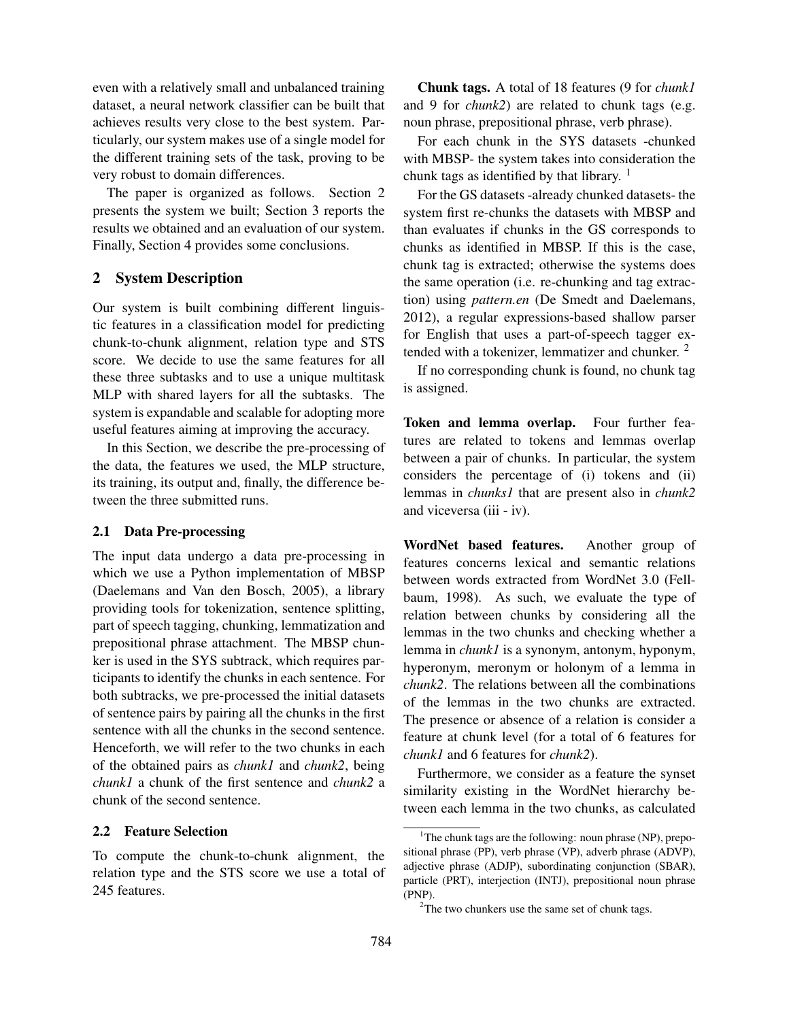even with a relatively small and unbalanced training dataset, a neural network classifier can be built that achieves results very close to the best system. Particularly, our system makes use of a single model for the different training sets of the task, proving to be very robust to domain differences.

The paper is organized as follows. Section 2 presents the system we built; Section 3 reports the results we obtained and an evaluation of our system. Finally, Section 4 provides some conclusions.

## 2 System Description

Our system is built combining different linguistic features in a classification model for predicting chunk-to-chunk alignment, relation type and STS score. We decide to use the same features for all these three subtasks and to use a unique multitask MLP with shared layers for all the subtasks. The system is expandable and scalable for adopting more useful features aiming at improving the accuracy.

In this Section, we describe the pre-processing of the data, the features we used, the MLP structure, its training, its output and, finally, the difference between the three submitted runs.

## 2.1 Data Pre-processing

The input data undergo a data pre-processing in which we use a Python implementation of MBSP (Daelemans and Van den Bosch, 2005), a library providing tools for tokenization, sentence splitting, part of speech tagging, chunking, lemmatization and prepositional phrase attachment. The MBSP chunker is used in the SYS subtrack, which requires participants to identify the chunks in each sentence. For both subtracks, we pre-processed the initial datasets of sentence pairs by pairing all the chunks in the first sentence with all the chunks in the second sentence. Henceforth, we will refer to the two chunks in each of the obtained pairs as *chunk1* and *chunk2*, being *chunk1* a chunk of the first sentence and *chunk2* a chunk of the second sentence.

## 2.2 Feature Selection

To compute the chunk-to-chunk alignment, the relation type and the STS score we use a total of 245 features.

Chunk tags. A total of 18 features (9 for *chunk1* and 9 for *chunk2*) are related to chunk tags (e.g. noun phrase, prepositional phrase, verb phrase).

For each chunk in the SYS datasets -chunked with MBSP- the system takes into consideration the chunk tags as identified by that library.  $\frac{1}{1}$ 

For the GS datasets -already chunked datasets- the system first re-chunks the datasets with MBSP and than evaluates if chunks in the GS corresponds to chunks as identified in MBSP. If this is the case, chunk tag is extracted; otherwise the systems does the same operation (i.e. re-chunking and tag extraction) using *pattern.en* (De Smedt and Daelemans, 2012), a regular expressions-based shallow parser for English that uses a part-of-speech tagger extended with a tokenizer, lemmatizer and chunker.<sup>2</sup>

If no corresponding chunk is found, no chunk tag is assigned.

Token and lemma overlap. Four further features are related to tokens and lemmas overlap between a pair of chunks. In particular, the system considers the percentage of (i) tokens and (ii) lemmas in *chunks1* that are present also in *chunk2* and viceversa (iii - iv).

WordNet based features. Another group of features concerns lexical and semantic relations between words extracted from WordNet 3.0 (Fellbaum, 1998). As such, we evaluate the type of relation between chunks by considering all the lemmas in the two chunks and checking whether a lemma in *chunk1* is a synonym, antonym, hyponym, hyperonym, meronym or holonym of a lemma in *chunk2*. The relations between all the combinations of the lemmas in the two chunks are extracted. The presence or absence of a relation is consider a feature at chunk level (for a total of 6 features for *chunk1* and 6 features for *chunk2*).

Furthermore, we consider as a feature the synset similarity existing in the WordNet hierarchy between each lemma in the two chunks, as calculated

<sup>&</sup>lt;sup>1</sup>The chunk tags are the following: noun phrase (NP), prepositional phrase (PP), verb phrase (VP), adverb phrase (ADVP), adjective phrase (ADJP), subordinating conjunction (SBAR), particle (PRT), interjection (INTJ), prepositional noun phrase (PNP).

 $2$ The two chunkers use the same set of chunk tags.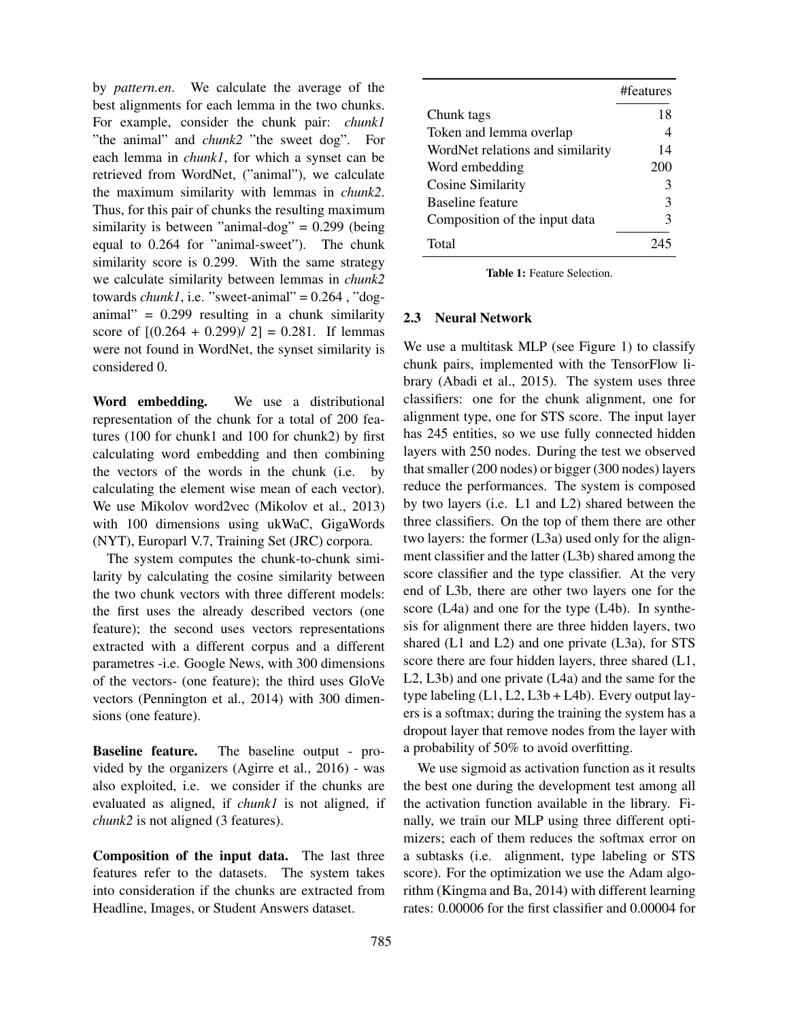by *pattern.en*. We calculate the average of the best alignments for each lemma in the two chunks. For example, consider the chunk pair: *chunk1* "the animal" and *chunk2* "the sweet dog". For each lemma in *chunk1*, for which a synset can be retrieved from WordNet, ("animal"), we calculate the maximum similarity with lemmas in *chunk2*. Thus, for this pair of chunks the resulting maximum similarity is between "animal-dog" =  $0.299$  (being equal to 0.264 for "animal-sweet"). The chunk similarity score is 0.299. With the same strategy we calculate similarity between lemmas in *chunk2* towards  $chunk1$ , i.e. "sweet-animal" =  $0.264$ , "doganimal" =  $0.299$  resulting in a chunk similarity score of  $[(0.264 + 0.299)/2] = 0.281$ . If lemmas were not found in WordNet, the synset similarity is considered 0.

Word embedding. We use a distributional representation of the chunk for a total of 200 features (100 for chunk1 and 100 for chunk2) by first calculating word embedding and then combining the vectors of the words in the chunk (i.e. by calculating the element wise mean of each vector). We use Mikolov word2vec (Mikolov et al., 2013) with 100 dimensions using ukWaC, GigaWords (NYT), Europarl V.7, Training Set (JRC) corpora.

The system computes the chunk-to-chunk similarity by calculating the cosine similarity between the two chunk vectors with three different models: the first uses the already described vectors (one feature); the second uses vectors representations extracted with a different corpus and a different parametres -i.e. Google News, with 300 dimensions of the vectors- (one feature); the third uses GloVe vectors (Pennington et al., 2014) with 300 dimensions (one feature).

Baseline feature. The baseline output - provided by the organizers (Agirre et al., 2016) - was also exploited, i.e. we consider if the chunks are evaluated as aligned, if *chunk1* is not aligned, if *chunk2* is not aligned (3 features).

Composition of the input data. The last three features refer to the datasets. The system takes into consideration if the chunks are extracted from Headline, Images, or Student Answers dataset.

|                                  | #features |
|----------------------------------|-----------|
| Chunk tags                       | 18        |
| Token and lemma overlap          | 4         |
| WordNet relations and similarity | 14        |
| Word embedding                   | 200       |
| Cosine Similarity                | 3         |
| Baseline feature                 | 3         |
| Composition of the input data    | 3         |
| Total                            |           |

Table 1: Feature Selection.

#### 2.3 Neural Network

We use a multitask MLP (see Figure 1) to classify chunk pairs, implemented with the TensorFlow library (Abadi et al., 2015). The system uses three classifiers: one for the chunk alignment, one for alignment type, one for STS score. The input layer has 245 entities, so we use fully connected hidden layers with 250 nodes. During the test we observed that smaller (200 nodes) or bigger (300 nodes) layers reduce the performances. The system is composed by two layers (i.e. L1 and L2) shared between the three classifiers. On the top of them there are other two layers: the former (L3a) used only for the alignment classifier and the latter (L3b) shared among the score classifier and the type classifier. At the very end of L3b, there are other two layers one for the score (L4a) and one for the type (L4b). In synthesis for alignment there are three hidden layers, two shared (L1 and L2) and one private (L3a), for STS score there are four hidden layers, three shared (L1, L2, L3b) and one private (L4a) and the same for the type labeling  $(L1, L2, L3b + L4b)$ . Every output layers is a softmax; during the training the system has a dropout layer that remove nodes from the layer with a probability of 50% to avoid overfitting.

We use sigmoid as activation function as it results the best one during the development test among all the activation function available in the library. Finally, we train our MLP using three different optimizers; each of them reduces the softmax error on a subtasks (i.e. alignment, type labeling or STS score). For the optimization we use the Adam algorithm (Kingma and Ba, 2014) with different learning rates: 0.00006 for the first classifier and 0.00004 for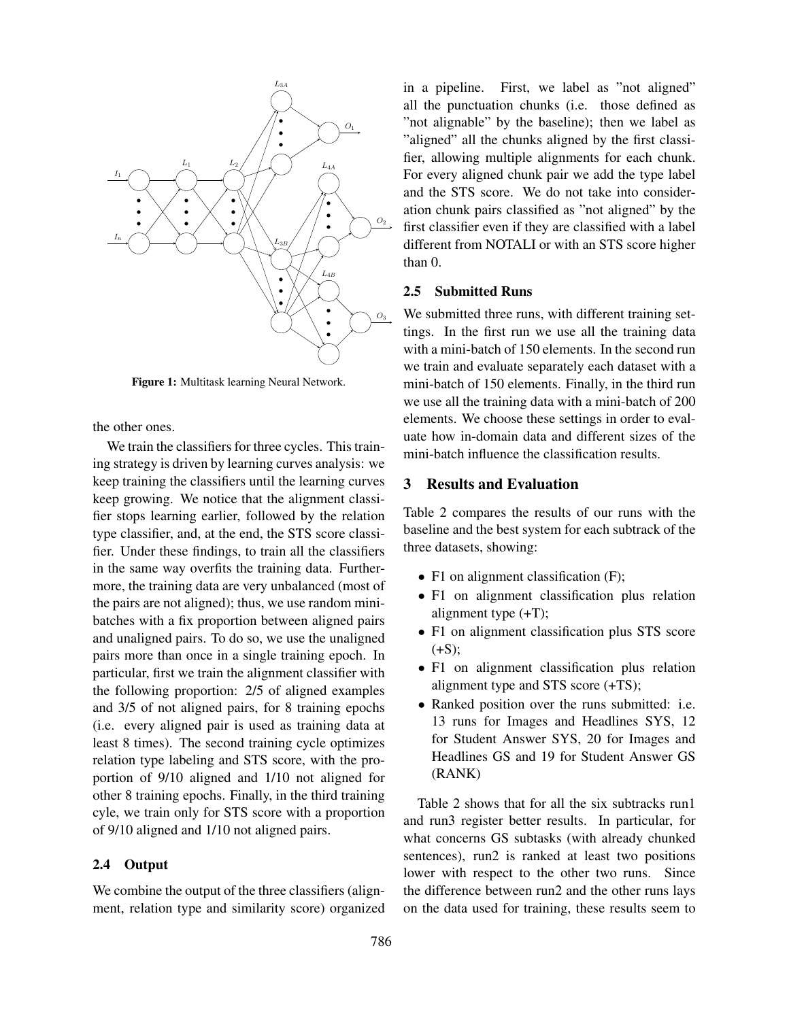

Figure 1: Multitask learning Neural Network.

the other ones.

We train the classifiers for three cycles. This training strategy is driven by learning curves analysis: we keep training the classifiers until the learning curves keep growing. We notice that the alignment classifier stops learning earlier, followed by the relation type classifier, and, at the end, the STS score classifier. Under these findings, to train all the classifiers in the same way overfits the training data. Furthermore, the training data are very unbalanced (most of the pairs are not aligned); thus, we use random minibatches with a fix proportion between aligned pairs and unaligned pairs. To do so, we use the unaligned pairs more than once in a single training epoch. In particular, first we train the alignment classifier with the following proportion: 2/5 of aligned examples and 3/5 of not aligned pairs, for 8 training epochs (i.e. every aligned pair is used as training data at least 8 times). The second training cycle optimizes relation type labeling and STS score, with the proportion of 9/10 aligned and 1/10 not aligned for other 8 training epochs. Finally, in the third training cyle, we train only for STS score with a proportion of 9/10 aligned and 1/10 not aligned pairs.

## 2.4 Output

We combine the output of the three classifiers (alignment, relation type and similarity score) organized in a pipeline. First, we label as "not aligned" all the punctuation chunks (i.e. those defined as "not alignable" by the baseline); then we label as "aligned" all the chunks aligned by the first classifier, allowing multiple alignments for each chunk. For every aligned chunk pair we add the type label and the STS score. We do not take into consideration chunk pairs classified as "not aligned" by the first classifier even if they are classified with a label different from NOTALI or with an STS score higher than 0.

### 2.5 Submitted Runs

We submitted three runs, with different training settings. In the first run we use all the training data with a mini-batch of 150 elements. In the second run we train and evaluate separately each dataset with a mini-batch of 150 elements. Finally, in the third run we use all the training data with a mini-batch of 200 elements. We choose these settings in order to evaluate how in-domain data and different sizes of the mini-batch influence the classification results.

## 3 Results and Evaluation

Table 2 compares the results of our runs with the baseline and the best system for each subtrack of the three datasets, showing:

- F1 on alignment classification (F);
- F1 on alignment classification plus relation alignment type (+T);
- F1 on alignment classification plus STS score  $(+S)$ :
- F1 on alignment classification plus relation alignment type and STS score (+TS);
- Ranked position over the runs submitted: i.e. 13 runs for Images and Headlines SYS, 12 for Student Answer SYS, 20 for Images and Headlines GS and 19 for Student Answer GS (RANK)

Table 2 shows that for all the six subtracks run1 and run3 register better results. In particular, for what concerns GS subtasks (with already chunked sentences), run2 is ranked at least two positions lower with respect to the other two runs. Since the difference between run2 and the other runs lays on the data used for training, these results seem to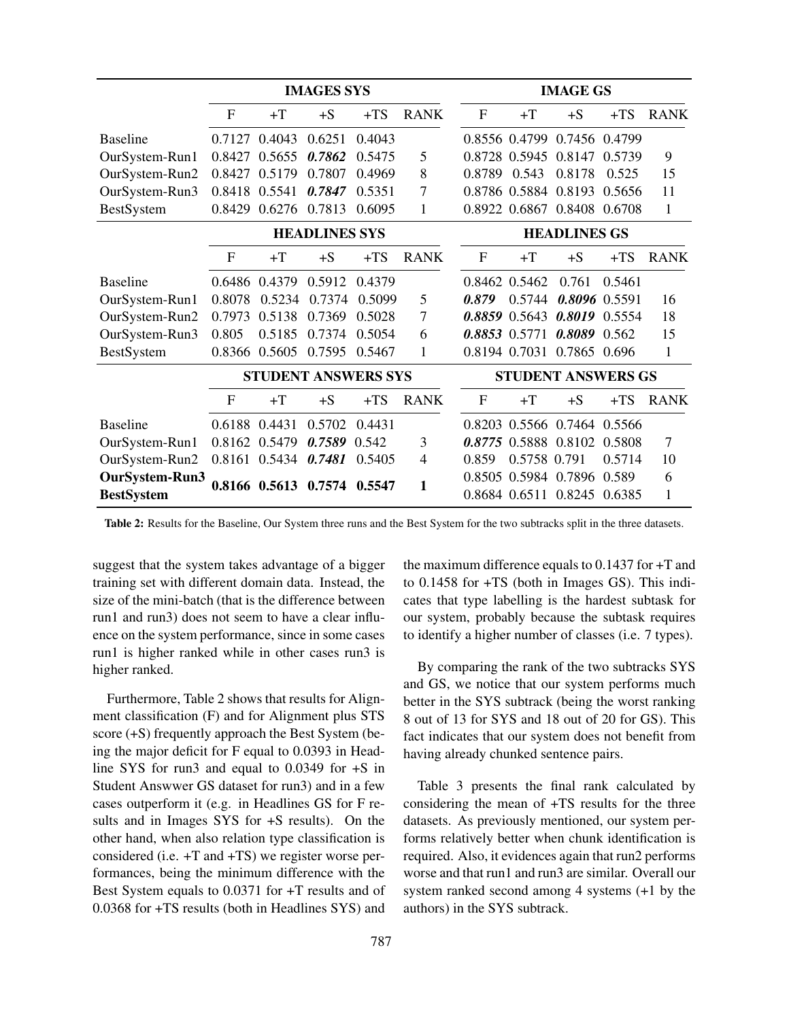|                   | <b>IMAGES SYS</b>          |                             |        | <b>IMAGE GS</b>     |                           |              |               |                             |        |             |
|-------------------|----------------------------|-----------------------------|--------|---------------------|---------------------------|--------------|---------------|-----------------------------|--------|-------------|
|                   | F                          | $+T$                        | $+S$   | $+TS$               | <b>RANK</b>               | $\mathbf F$  | $+T$          | $+S$                        | $+TS$  | <b>RANK</b> |
| <b>Baseline</b>   | 0.7127                     | 0.4043                      | 0.6251 | 0.4043              |                           |              | 0.8556 0.4799 | 0.7456 0.4799               |        |             |
| OurSystem-Run1    | 0.8427                     | 0.5655                      | 0.7862 | 0.5475              | 5                         |              | 0.8728 0.5945 | 0.8147                      | 0.5739 | 9           |
| OurSystem-Run2    | 0.8427                     | 0.5179                      | 0.7807 | 0.4969              | 8                         | 0.8789       | 0.543         | 0.8178                      | 0.525  | 15          |
| OurSystem-Run3    | 0.8418                     | 0.5541                      | 0.7847 | 0.5351              | 7                         |              | 0.8786 0.5884 | 0.8193 0.5656               |        | 11          |
| BestSystem        | 0.8429                     | 0.6276                      | 0.7813 | 0.6095              | 1                         |              | 0.8922 0.6867 | 0.8408 0.6708               |        | 1           |
|                   | <b>HEADLINES SYS</b>       |                             |        | <b>HEADLINES GS</b> |                           |              |               |                             |        |             |
|                   | $\mathbf{F}$               | $+T$                        | $+S$   | $+TS$               | <b>RANK</b>               | $\mathbf{F}$ | $+T$          | $+S$                        | $+TS$  | <b>RANK</b> |
| <b>Baseline</b>   |                            | 0.6486 0.4379               | 0.5912 | 0.4379              |                           |              | 0.8462 0.5462 | 0.761                       | 0.5461 |             |
| OurSystem-Run1    | 0.8078                     | 0.5234                      | 0.7374 | 0.5099              | 5                         | 0.879        | 0.5744        | 0.8096 0.5591               |        | 16          |
| OurSystem-Run2    | 0.7973                     | 0.5138                      | 0.7369 | 0.5028              | $\overline{7}$            |              |               | 0.8859 0.5643 0.8019 0.5554 |        | 18          |
| OurSystem-Run3    | 0.805                      | 0.5185                      | 0.7374 | 0.5054              | 6                         |              | 0.8853 0.5771 | 0.8089 0.562                |        | 15          |
| <b>BestSystem</b> | 0.8366                     | 0.5605                      | 0.7595 | 0.5467              | 1                         |              | 0.8194 0.7031 | 0.7865 0.696                |        | 1           |
|                   | <b>STUDENT ANSWERS SYS</b> |                             |        |                     | <b>STUDENT ANSWERS GS</b> |              |               |                             |        |             |
|                   | F                          | $+T$                        | $+S$   | $+TS$               | <b>RANK</b>               | $\mathbf{F}$ | $+T$          | $+S$                        | $+TS$  | <b>RANK</b> |
| <b>Baseline</b>   | 0.6188                     | 0.4431                      | 0.5702 | 0.4431              |                           |              |               | 0.8203 0.5566 0.7464 0.5566 |        |             |
| OurSystem-Run1    |                            | 0.8162 0.5479               | 0.7589 | 0.542               | 3                         |              |               | 0.8775 0.5888 0.8102        | 0.5808 | 7           |
| OurSystem-Run2    |                            | 0.8161 0.5434               | 0.7481 | 0.5405              | 4                         | 0.859        | 0.5758 0.791  |                             | 0.5714 | 10          |
| OurSystem-Run3    |                            | 0.8166 0.5613 0.7574 0.5547 |        |                     | 1                         |              |               | 0.8505 0.5984 0.7896 0.589  |        | 6           |
| <b>BestSystem</b> |                            |                             |        |                     |                           |              |               | 0.8684 0.6511 0.8245 0.6385 |        | 1           |

Table 2: Results for the Baseline, Our System three runs and the Best System for the two subtracks split in the three datasets.

suggest that the system takes advantage of a bigger training set with different domain data. Instead, the size of the mini-batch (that is the difference between run1 and run3) does not seem to have a clear influence on the system performance, since in some cases run1 is higher ranked while in other cases run3 is higher ranked.

Furthermore, Table 2 shows that results for Alignment classification (F) and for Alignment plus STS score (+S) frequently approach the Best System (being the major deficit for F equal to 0.0393 in Headline SYS for run3 and equal to 0.0349 for +S in Student Answwer GS dataset for run3) and in a few cases outperform it (e.g. in Headlines GS for F results and in Images SYS for +S results). On the other hand, when also relation type classification is considered (i.e. +T and +TS) we register worse performances, being the minimum difference with the Best System equals to 0.0371 for +T results and of 0.0368 for +TS results (both in Headlines SYS) and the maximum difference equals to 0.1437 for +T and to 0.1458 for +TS (both in Images GS). This indicates that type labelling is the hardest subtask for our system, probably because the subtask requires to identify a higher number of classes (i.e. 7 types).

By comparing the rank of the two subtracks SYS and GS, we notice that our system performs much better in the SYS subtrack (being the worst ranking 8 out of 13 for SYS and 18 out of 20 for GS). This fact indicates that our system does not benefit from having already chunked sentence pairs.

Table 3 presents the final rank calculated by considering the mean of +TS results for the three datasets. As previously mentioned, our system performs relatively better when chunk identification is required. Also, it evidences again that run2 performs worse and that run1 and run3 are similar. Overall our system ranked second among 4 systems (+1 by the authors) in the SYS subtrack.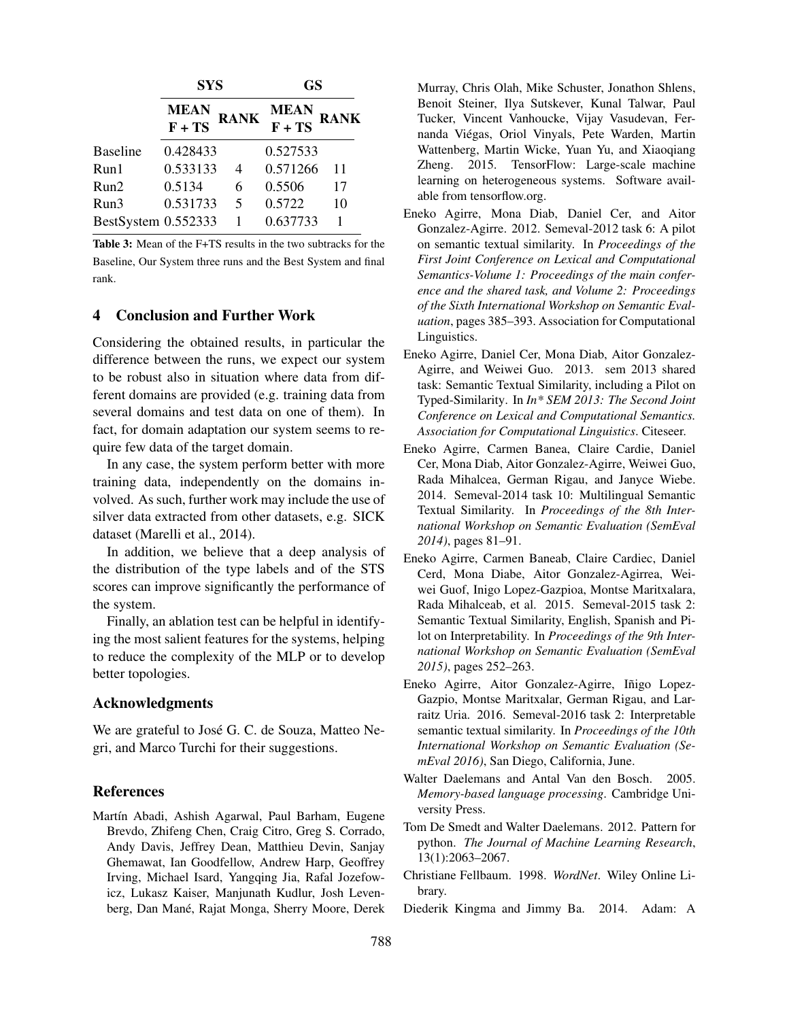|                     | <b>SYS</b>            |             | GS                    |             |  |
|---------------------|-----------------------|-------------|-----------------------|-------------|--|
|                     | <b>MEAN</b><br>F + TS | <b>RANK</b> | <b>MEAN</b><br>F + TS | <b>RANK</b> |  |
| <b>Baseline</b>     | 0.428433              |             | 0.527533              |             |  |
| Run1                | 0.533133              |             | 0.571266              | 11          |  |
| Run2                | 0.5134                | 6           | 0.5506                | 17          |  |
| Run3                | 0.531733              | 5           | 0.5722                | 10          |  |
| BestSystem 0.552333 |                       |             | 0.637733              |             |  |

Table 3: Mean of the F+TS results in the two subtracks for the Baseline, Our System three runs and the Best System and final rank.

### 4 Conclusion and Further Work

Considering the obtained results, in particular the difference between the runs, we expect our system to be robust also in situation where data from different domains are provided (e.g. training data from several domains and test data on one of them). In fact, for domain adaptation our system seems to require few data of the target domain.

In any case, the system perform better with more training data, independently on the domains involved. As such, further work may include the use of silver data extracted from other datasets, e.g. SICK dataset (Marelli et al., 2014).

In addition, we believe that a deep analysis of the distribution of the type labels and of the STS scores can improve significantly the performance of the system.

Finally, an ablation test can be helpful in identifying the most salient features for the systems, helping to reduce the complexity of the MLP or to develop better topologies.

### Acknowledgments

We are grateful to José G. C. de Souza, Matteo Negri, and Marco Turchi for their suggestions.

#### References

Martín Abadi, Ashish Agarwal, Paul Barham, Eugene Brevdo, Zhifeng Chen, Craig Citro, Greg S. Corrado, Andy Davis, Jeffrey Dean, Matthieu Devin, Sanjay Ghemawat, Ian Goodfellow, Andrew Harp, Geoffrey Irving, Michael Isard, Yangqing Jia, Rafal Jozefowicz, Lukasz Kaiser, Manjunath Kudlur, Josh Levenberg, Dan Mané, Rajat Monga, Sherry Moore, Derek Murray, Chris Olah, Mike Schuster, Jonathon Shlens, Benoit Steiner, Ilya Sutskever, Kunal Talwar, Paul Tucker, Vincent Vanhoucke, Vijay Vasudevan, Fernanda Viegas, Oriol Vinyals, Pete Warden, Martin ´ Wattenberg, Martin Wicke, Yuan Yu, and Xiaoqiang Zheng. 2015. TensorFlow: Large-scale machine learning on heterogeneous systems. Software available from tensorflow.org.

- Eneko Agirre, Mona Diab, Daniel Cer, and Aitor Gonzalez-Agirre. 2012. Semeval-2012 task 6: A pilot on semantic textual similarity. In *Proceedings of the First Joint Conference on Lexical and Computational Semantics-Volume 1: Proceedings of the main conference and the shared task, and Volume 2: Proceedings of the Sixth International Workshop on Semantic Evaluation*, pages 385–393. Association for Computational Linguistics.
- Eneko Agirre, Daniel Cer, Mona Diab, Aitor Gonzalez-Agirre, and Weiwei Guo. 2013. sem 2013 shared task: Semantic Textual Similarity, including a Pilot on Typed-Similarity. In *In\* SEM 2013: The Second Joint Conference on Lexical and Computational Semantics. Association for Computational Linguistics*. Citeseer.
- Eneko Agirre, Carmen Banea, Claire Cardie, Daniel Cer, Mona Diab, Aitor Gonzalez-Agirre, Weiwei Guo, Rada Mihalcea, German Rigau, and Janyce Wiebe. 2014. Semeval-2014 task 10: Multilingual Semantic Textual Similarity. In *Proceedings of the 8th International Workshop on Semantic Evaluation (SemEval 2014)*, pages 81–91.
- Eneko Agirre, Carmen Baneab, Claire Cardiec, Daniel Cerd, Mona Diabe, Aitor Gonzalez-Agirrea, Weiwei Guof, Inigo Lopez-Gazpioa, Montse Maritxalara, Rada Mihalceab, et al. 2015. Semeval-2015 task 2: Semantic Textual Similarity, English, Spanish and Pilot on Interpretability. In *Proceedings of the 9th International Workshop on Semantic Evaluation (SemEval 2015)*, pages 252–263.
- Eneko Agirre, Aitor Gonzalez-Agirre, Iñigo Lopez-Gazpio, Montse Maritxalar, German Rigau, and Larraitz Uria. 2016. Semeval-2016 task 2: Interpretable semantic textual similarity. In *Proceedings of the 10th International Workshop on Semantic Evaluation (SemEval 2016)*, San Diego, California, June.
- Walter Daelemans and Antal Van den Bosch. 2005. *Memory-based language processing*. Cambridge University Press.
- Tom De Smedt and Walter Daelemans. 2012. Pattern for python. *The Journal of Machine Learning Research*, 13(1):2063–2067.
- Christiane Fellbaum. 1998. *WordNet*. Wiley Online Library.
- Diederik Kingma and Jimmy Ba. 2014. Adam: A